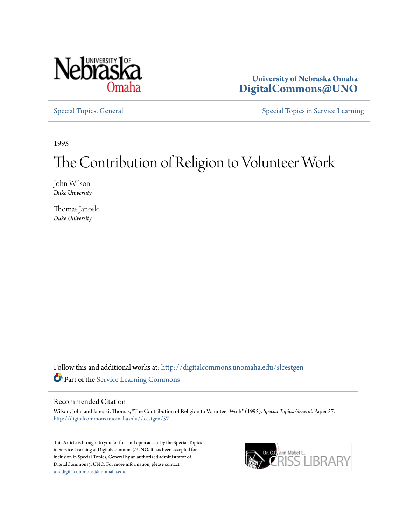

**University of Nebraska Omaha [DigitalCommons@UNO](http://digitalcommons.unomaha.edu?utm_source=digitalcommons.unomaha.edu%2Fslcestgen%2F57&utm_medium=PDF&utm_campaign=PDFCoverPages)**

[Special Topics, General](http://digitalcommons.unomaha.edu/slcestgen?utm_source=digitalcommons.unomaha.edu%2Fslcestgen%2F57&utm_medium=PDF&utm_campaign=PDFCoverPages) [Special Topics in Service Learning](http://digitalcommons.unomaha.edu/slcespecialtopics?utm_source=digitalcommons.unomaha.edu%2Fslcestgen%2F57&utm_medium=PDF&utm_campaign=PDFCoverPages)

1995

# The Contribution of Religion to Volunteer Work

John Wilson *Duke University*

Thomas Janoski *Duke University*

Follow this and additional works at: [http://digitalcommons.unomaha.edu/slcestgen](http://digitalcommons.unomaha.edu/slcestgen?utm_source=digitalcommons.unomaha.edu%2Fslcestgen%2F57&utm_medium=PDF&utm_campaign=PDFCoverPages) Part of the [Service Learning Commons](http://network.bepress.com/hgg/discipline/1024?utm_source=digitalcommons.unomaha.edu%2Fslcestgen%2F57&utm_medium=PDF&utm_campaign=PDFCoverPages)

#### Recommended Citation

Wilson, John and Janoski, Thomas, "The Contribution of Religion to Volunteer Work" (1995). *Special Topics, General.* Paper 57. [http://digitalcommons.unomaha.edu/slcestgen/57](http://digitalcommons.unomaha.edu/slcestgen/57?utm_source=digitalcommons.unomaha.edu%2Fslcestgen%2F57&utm_medium=PDF&utm_campaign=PDFCoverPages)

This Article is brought to you for free and open access by the Special Topics in Service Learning at DigitalCommons@UNO. It has been accepted for inclusion in Special Topics, General by an authorized administrator of DigitalCommons@UNO. For more information, please contact [unodigitalcommons@unomaha.edu](mailto:unodigitalcommons@unomaha.edu).

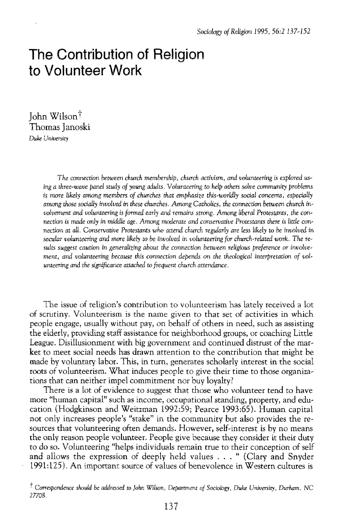# **The Contribution of Religion to Volunteer Work**

John Wilson $\dagger$ Thomas Janoski *Duke University* 

> *The connection between church membership, church activism, and volunteering is explored using a three-wave panel study of young adults. Volunteering to help others solve community problems is more likely among members of churches that emphasize this-worldly social concerns, especially among those socially involved in these churches. Among Catholics, the connection between church involvement and volunteering is formed early and remains strong. Among liberal Protestants, the connectian is made only in middle age. Amang moderate and conservative Protestants there is little connection at* alL *Conservative Protestants who attend church regularly are less likely to be involved* in secular volunteering and more likely to be involved in volunteering for church-related work. The results suggest caution in generalizing about the connection between religious preference or involvement, *and volunteering because this connection depends on the theological interpretation of volunteering and the significance attached* to *frequent church attendance.*

The issue of religion's contribution to volunteerism has lately received a lot of scrutiny. Volunteerism is the name given to that set of activities in which people engage, usually without pay, on behalf of others in need, such as assisting the elderly, providing staff assistance for neighborhood groups, or coaching Little League. Disillusionment with big government and continued distrust of the market to meet social needs has drawn attention to the contribution that might be made by voluntary labor. This, in tum, generates scholarly interest in the social roots of volunteerism. What induces people to give their time to those organiza·· tions that can neither impel commitment nor buy loyalty?

There is a lot of evidence to suggest that those who volunteer tend to have more "human capital" such as income, occupational standing, property, and education (Hodgkinson and Weitzman 1992:59; Pearce 1993:65). Human capital not only increases people's "stake" in the community but also provides the resources that volunteering often demands. However, self-interest is by no means the only reason people volunteer. People give because they consider it their duty to do so. Volunteering "helps individuals remain true to their conception of self and allows the expression of deeply held values ... " (Clary and Snyder 1991:125). An important source of values of benevolence in Western cultures is

t *Correspondence should be addressed* to *John Wilson, Department of Sociology, Dulce University, Durham, NC 27708.*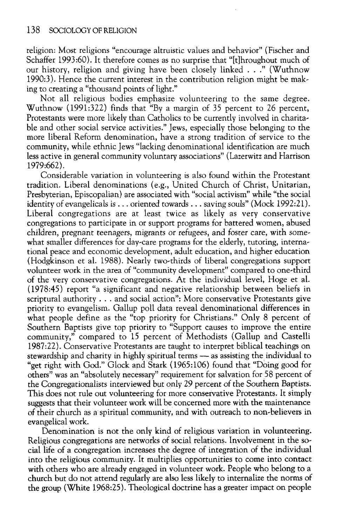religion: Most religions "encourage altruistic values and behavior" (Fischer and Schaffer 1993:60). It therefore comes as no surprise that "[t]hroughout much of our history, religion and giving have been closely linked ... " (Wuthnow 1990:3 ). Hence the current interest in the contribution religion might be mak, ing to creating a "thousand points of light."

Not all religious bodies emphasize volunteering to the same degree. Wuthnow (1991:322) finds that "By a margin of 35 percent to 26 percent, Protestants were more likely than Catholics to be currently involved in charita, ble and other social service activities." Jews, especiatly those belonging to the more liberal Reform denomination, have a strong tradition of service to the community, while ethnic Jews "lacking denominational identification are much less active in general community voluntary associations" (Lazerwitz and Harrison 1979:662).

Considerable variation in volunteering is also found within the Protestant tradition. Liberal denominations (e.g., United Church of Christ, Unitarian, Presbyterian, Episcopalian) are associated with "social activism" while "the social identity of evangelicals is ... oriented towards ... saving souls" (Mock 1992:21). Liberal congregations are at least twice as likely as very conservative congregations to participate in or support programs for battered women, abused children, pregnant teenagers, migrants or refugees, and foster care, with some, what smaller differences for day-care programs for the elderly, tutoring, international peace and economic development, adult education, and higher education (Hodgkinson et al. 1988). Nearly two,thirds of liberal congregations support volunteer work in the area of "community development" compared to one-third of the very conservative congregations. At the individual level, Hoge et al. (1978:45) report "a significant and negative relationship between beliefs in scriptural authority ... and social action": More conservative Protestants give priority to evangelism. Gallup poll data reveal denominational differences in what people define as the "top priority for Christians." Only 8 percent of Southern Baptists give top priority to "Support causes to improve the entire community," compared to 15 percent of Methodists (Gallup and Castelli 1987:22). Conservative Protestants are taught to interpret biblical teachings on stewardship and charity in highly spiritual terms - as assisting the individual to "get right with God." Glock and Stark (1965:106) found that "Doing good for others" was an "absolutely necessary" requirement for salvation for 58 percent of the Congregationalists interviewed but only 29 percent of the Southern Baptists. This does not rule out volunteering for more conservative Protestants. It simply suggests that their volunteer work will be concerned more with the maintenance of their church as a spiritual community, and with outreach to non,believers in evangelical work.

Denomination is not the only kind of religious variation in volunteering. Religious congregations are networks of social relations. Involvement in the social life of a congregation increases the degree of integration of the individual into the religious community. It multiplies opportunities to come into contact with others who are already engaged in volunteer work. People who belong to a church but do not attend regularly are also less likely to internalize the norms of the group (White 1968:25). Theological doctrine has a greater impact on people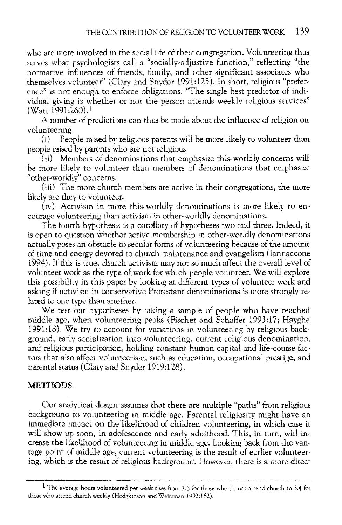who are more involved in the social life of their congregation. Volunteering thus serves what psychologists call a "socially-adjustive function," reflecting "the normative influences of friends, family, and other significant associates who themselves volunteer" (Clary and Snyder 1991:125). In short, religious "preference" is not enough to enforce obligations: "The single best predictor of individual giving is whether or not the person attends weekly religious services" (Watt 1991:260).1

A number of predictions can thus be made about the influence of religion on volunteering.

( i) People raised by religious parents will be more likely to volunteer than people raised by parents who are not religious.

(ii) Members of denominations that emphasize this-worldly concerns will be more likely to volunteer than members of denominations that emphasize "other-worldly" concerns.

(iii) The more church members are active in their congregations, the more likely are they to volunteer.

(iv) Activism in more this-worldly denominations is more likely to encourage volunteering than activism in other-worldly denominations.

The fourth hypothesis is a corollary of hypotheses two and three. Indeed, it is open to question whether active membership in other-worldly denominations actually poses an obstacle to secular forms of volunteering because of the amount of time and energy devoted to church maintenance and evangelism (Iannaccone 1994 ). If this is true, church activism may not so much affect the overall level of volunteer work as the type of work for which people volunteer. We will explore this possibility in this paper by looking at different types of volunteer work and asking if activism in conservative Protestant denominations is more strongly related to one type than another.

We test our hypotheses by taking a sample of people who have reached middle age, when volunteering peaks (Fischer and Schaffer 1993:17; Hayghe  $1991:18$ ). We try to account for variations in volunteering by religious background, early socialization into volunteering, current religious denomination, and religious participation, hoiding constant human. capital and life-course factors that also affect volunteerism, such as education, occupational prestige, and parental status (Clary and Snyder 1919:128).

#### **METHODS**

Ouranalytical design assumes that there are multiple "paths" from religious background to volunteering in middle age. Parental religiosity might have an immediate impact on the likelihood of children volunteering, in which case it will show up soon, in adolescence and early adulthood. This, in turn, will increase the likelihood of volunteering in middle age. Looking back from the vantage point of middle age, current volunteering is the result of earlier volunteering,, which is the result of religious background. However, there is a more direct

 $<sup>1</sup>$  The average hours volunteered per week rises from 1.6 for those who do not attend church to 3.4 for</sup> those who attend church weekly (Hodgkinson and Weitzman 1992:162).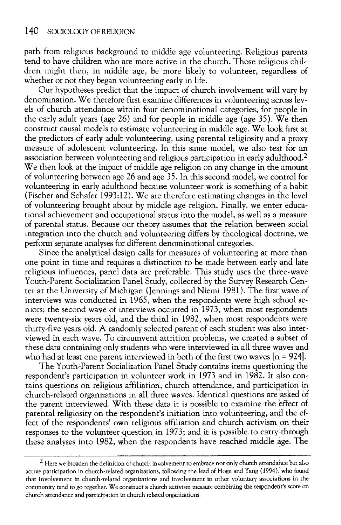path from religious background to middle age volunteering. Religious parents tend to have children who are more active in the church. Those religious chil~ dren might then, in middle age, be more likely to volunteer, regardless of whether or not they began volunteering early in life.

Our hypotheses predict that the impact of church involvement will vary by denomination. We therefore first examine differences in volunteering across lev~ els of church attendance within four denominational categories, for people in the early adult years (age 26) and for people in middle age (age 35). We then construct causal models to estimate volunteering in middle age. We look first at the predictors of early adult volunteering, using parental religiosity and a proxy measure of adolescent volunteering. In this same model, we also test for an association between volunteering and religious participation in early adulthood.2 We then look at the impact of middle age religion on any change in the amount of volunteering between age 26 and age 35. In this second model, we control for volunteering in early adulthood because volunteer work is something of a habit (Fischer and Schafer 1993:12). We are therefore estimating changes in the level of volunteering brought about by middle age religion. Finally, we enter educa~ tional achievement and occupational status into the model, as well as a measure of parental status. Because our theory assumes that the relation between social integration into the church and volunteering differs by theological doctrine, we perform separate analyses for different denominational categories.

Since the analytical design calls for measures of volunteering at more than one point in time and requires a distinction to be made between early and late religious influences, panel data are preferable. This study uses the three~wave Youth-Parent Socialization Panel Study, collected by the Survey Research Center at the University of Michigan (Jennings and Niemi 1981). The first wave of interviews was conducted in 1965, when the respondents were high school se~ niors; the second wave of interviews occurred in 1973, when most respondents were twenty~six years old, and the third in 1982, when most respondents were thirty~five years old. A randomly selected parent of each student was also inter~ viewed in each wave. To circumvent attrition problems, we created a subset of these data contaiaing only students who were interviewed in all three waves and who had at least one parent interviewed in both of the first two waves  $[n = 924]$ .

The Youth-Parent Socialization Panel Study contains items questioning the respondent's participation in volunteer work in 1973 and in 1982. It also contains questions on religious affiliation, church attendance, and participation in church-related organizations in all three waves. Identical questions are asked of the parent interviewed. With these data it is possible to examine the effect of parental religiosity on the respondent's initiation into volunteering, and the effect of the respondents' own religious affiliation and church activism on their responses to the volunteer question in 1973; and it is possible to carry through these analyses into 1982, when the respondents have reached middle age. The

 $<sup>2</sup>$  Here we broaden the definition of church involvement to embrace not only church attendance but also</sup> active participation in church-related organizations, following the lead of Hoge and Yang (1994), who found that involvement in church-related organizations and involvement in other voluntary associations in the community tend to go together. We construct a church activism measure combining the respondent's score on church attendance and participation in church related organizations.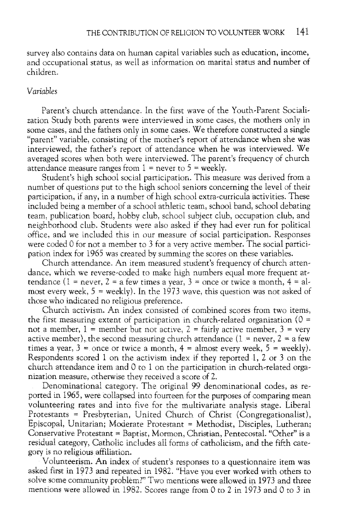survey also contains data on human capital variables such as education, income, and occupational status, as well as information on marital status and number of children.

#### *Variables*

Parent's church attendance. In the first wave of the Youth-Parent Socialization Study both parents were interviewed in some cases, the mothers only in some cases, and the fathers only in some cases. We therefore constructed a single "parent" variable, consisting of the mother's report of attendance when she was interviewed, the father's report of attendance when he was interviewed. We averaged scores when both were interviewed. The parent's frequency of church attendance measure ranges from  $1 =$  never to  $5 =$  weekly.

Student's high school social participatior,. This measure was derived from a number of questions put to the high school. seniors concerning the level of their participation, if any, in a number of high school extra-curricula activities. These included being a member of a school athletic team, schooi band, school debating team, publication board, hobby club, school subject club, occupation club, and neighborhood club. Students were also asked if they had ever run for political office, and we lncluded this in our measure of social participation. Responses were coded 0 for not a member to 3 for a very active member. The social participation index for 1965 was created by summing the scores on these variables.

Church attendance. An item measured student's frequency of church attendance, which we reverse-coded to make high numbers equal more frequent attendance ( $l =$  never,  $2 =$  a few times a year,  $3 =$  once or twice a month,  $4 =$  almost every week,  $5$  = weekly). In the 1973 wave, this question was not asked of those who indicated no religious preference.

Church activism. An index consisted of combined scores from two items, the first measuring extent of participation in church-related organization ( $0 =$ not a member,  $1 =$  member but not active,  $2 =$  fairly active member,  $3 =$  very active member), the second measuring church attendance  $(1 =$  never,  $2 =$ a few times a year,  $3 =$  once or twice a month,  $4 =$  almost every week,  $5 =$  weekly). Respondents scored 1 on the activism index if they reported 1, 2 or 3 on the church attendance item and 0 to 1 on the participation in church-related organization measure, otherwise they received a score of 2.

Denominational category. The original 99 denominational codes, as reported in 1965, were collapsed into fourteen for the purposes of comparing mean volunteering rates and into five for the multivariate analysis stage. Liberal Protestants = Presbyterian, United Church of Christ (Congregationalist), Episcopal, Unitarian; Moderate Protestant = Methodist, Disciples, Lutheran; Conservative Protestant = Baptist, Mormon, Christian, Pentecostal. "Other" is a residual category, Catholic includes all forms of catholicism, and the fifth category is no religious affiliation.

Volunteerism. An index of student's responses to a questionnaire item was asked first in 1973 and repeated in 1982. "Have you ever worked with others to solve some community problem?" Two mentions were allowed in 1973 and three mentions were allowed in 1982. Scores range from 0 to 2 in 1973 and 0 to 3 in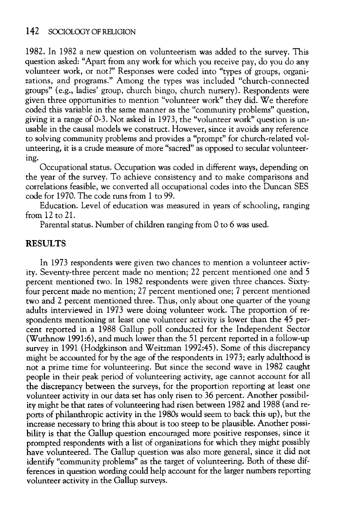1982. In 1982 a new question on volunteerism was added to the survey. This question asked: "Apart from any work for which you receive pay, do you do any volunteer work, or not?" Responses were coded into "types of groups, organizations, and programs." Among the types was included "church-connected groups" (e.g., ladies' group, church bingo, church nursery). Respondents were given three opportunities to mention "volunteer work" they did. We therefore coded this variable in the same manner as the "community problems" question, giving it a range of 0-3. Not asked in 1973, the "volunteer work" question is unusable in the causal models we construct. However, since it avoids any reference to solving community problems and provides a "prompt" for church-related volunteering, it is a crude measure of more "sacred" as opposed to secular volunteering.

Occupational status. Occupation was coded in different ways, depending on the year of the survey. To achieve consistency and to make comparisons and correlations feasible, we converted all occupational codes into the Duncan SES code for 1970. The code runs from 1 to 99.

Education. Level of education was measured in years of schooling, ranging from 12 to 21.

Parental status. Number of children ranging from 0 to 6 was used.

# **RESULTS**

In 1973 respondents were given two chances to mention a volunteer activity. Seventy-three percent made no mention; 22 percent mentioned one and 5 percent mentioned two. In 1982 respondents were given three chances. Sixtyfour percent made no mention; 27 percent mentioned one; 7 percent mentioned two and 2 percent mentioned three. Thus, only about one quarter of the young adults interviewed in 1973 were doing volunteer work. The proportion of respondents mentioning at least one volunteer activity is lower than the 45 percent reported in a 1988 Gallup poll conducted for the Independent Sector (Wuthnow 1991:6), and much lower than the 51 percent reported in a follow-up survey in 1991 (Hodgkinson and Weitzman 1992:45). Some of this discrepancy might be accounted for by the age of the respondents in 1973; early adulthood is not a prime time for volunteering. But since the second wave in 1982 caught people in their peak period of volunteering activity, age cannot account for all the discrepancy between the surveys, for the proportion reporting at least one volunteer activity in our data set has only risen to 36 percent. Another possibility might be that rates of volunteering had risen between 1982 and 1988 (andreports of philanthropic activity in the 1980s would seem to back this up), but the increase necessary to bring this about is too steep to be plausible. Another possibility is that the Gallup question encouraged more positive responses, since it prompted respondents with a list of organizations for which they might possibly have volunteered. The Gallup question was also more general, since it did not identify "community problems" as the target of volunteering. Both of these differences in question wording could help account for the larger numbers reporting volunteer activity in the Gallup surveys.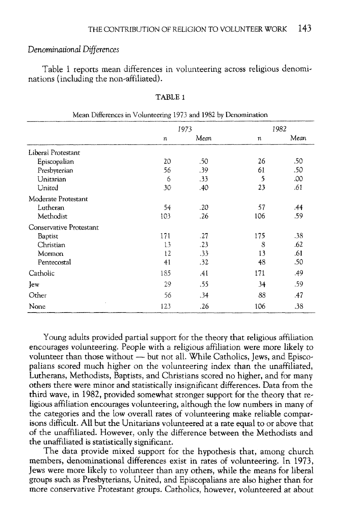#### *Denominational Differences*

Table 1 reports mean differences in volunteering across religious denominations (including the non-affiliated).

| $m_{\rm{eff}}$ $\sim$ $m_{\rm{eff}}$ $\sim$ $m_{\rm{eff}}$ , $\sim$ $m_{\rm{eff}}$ $\sim$ $m_{\rm{eff}}$ $\sim$ $m_{\rm{eff}}$ $\sim$ $m_{\rm{eff}}$ $\sim$ $m_{\rm{eff}}$ |     |      |                  |         |  |
|----------------------------------------------------------------------------------------------------------------------------------------------------------------------------|-----|------|------------------|---------|--|
|                                                                                                                                                                            |     | 1973 | 1982             |         |  |
|                                                                                                                                                                            | n   | Mean | $\boldsymbol{n}$ | Mean    |  |
| Liberal Protestant                                                                                                                                                         |     |      |                  |         |  |
| Episcopalian                                                                                                                                                               | 20  | .50  | 26               | .50     |  |
| Presbyterian                                                                                                                                                               | 56  | .39  | 61               | .50     |  |
| Unitarian                                                                                                                                                                  | 6   | .33  | 5                | $.00\,$ |  |
| United                                                                                                                                                                     | 30  | .40  | 23               | .61     |  |
| Moderate Protestant                                                                                                                                                        |     |      |                  |         |  |
| Lutheran                                                                                                                                                                   | 54  | .20  | 57               | .44     |  |
| Methodist                                                                                                                                                                  | 103 | .26  | 106              | .59     |  |
| <b>Conservative Protestant</b>                                                                                                                                             |     |      |                  |         |  |
| Baptist                                                                                                                                                                    | 171 | .27  | 175              | .38     |  |
| Christian                                                                                                                                                                  | 13  | .23  | <sup>8</sup>     | .62     |  |
| Mormon                                                                                                                                                                     | 12  | .33  | 13               | .61     |  |
| Pentecostal                                                                                                                                                                | 41  | .32  | 48               | .50     |  |
| Catholic                                                                                                                                                                   | 185 | .41  | 171              | .49     |  |
| Jew                                                                                                                                                                        | 29  | .55  | 34               | .59     |  |
| Other                                                                                                                                                                      | 56  | .34  | 88               | .47     |  |
| None                                                                                                                                                                       | 123 | .26  | 106              | .38     |  |

#### TABLE 1

Mean Differences in Volunteering 1973 and 1982 by Denomination

Young adults provided partial support for the theory that religious affiliation encourages volunteering. People with a religious affiliation were more likely to volunteer than those without — but not all. While Catholics, Jews, and Episcopalians scored much higher on the volunteering index than the unaffiliated, Lutherans, Methodists, Baptists, and Christians scored no higher, and for many others there were minor and statistically insignificant differences. Data from the third wave, in 1982, provided somewhat stronger support for the theory that religious affiliation encourages volunteering, aithough. the low numbers in many of the categories and the low overall rates of volunteering make reliable comparisons difficult. All but the Unitarians volunteered at a rate equal to or above that of the unaffiliated. However, only the difference between the Methodists and the unaffiliated is statistically significant.

The data provide mixed support for the hypothesis that, among church members, denominational differences exist in rates of volunteering. In 1973, Jews were more likely to volunteer than any others, while the means for liberal groups such as Presbyterians, United, and Episcopalians are also higher than for more conservative Protestant groups. Catholics, however, volunteered at about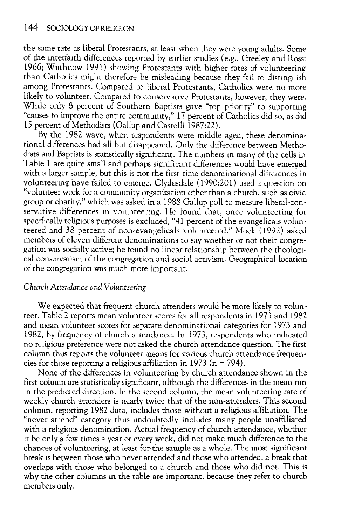the same rate as liberal Protestants, at least when they were young adults. Some of the interfaith differences reported by earlier studies (e.g., Greeley and Rossi 1966; Wuthnow 1991) showing Protestants with higher rates of volunteering than Catholics might therefore be misleading because they fail to distinguish among Protestants. Compared to liberal Protestants, Catholics were no more likely to volunteer. Compared to conservative Protestants, however, they were. While only 8 percent of Southern Baptists gave "top priority" to supporting "causes to improve the entire community," 17 percent of Catholics did so, as did 15 percent of Methodists (Gallup and Castelli 1987:22).

By the 1982 wave, when respondents were middle aged, these denominational differences had all but disappeared. Only the difference between Methodists and Baptists is statistically significant. The numbers in many of the cells in Table 1 are quite small and perhaps significant differences would have emerged with a larger sample, but this is not the first time denominational differences in volunteering have failed to emerge. Clydesdale ( 1990:201) used a question on "volunteer work for a community organization other than a church, such as civic group or charity," which was asked in a 1988 Gallup poll to measure liberal-conservative differences in volunteering. He found that, once volunteering for specifically religious purposes is excluded, "41 percent of the evangelicals volunteered and 38 percent of non-evangelicals volunteered." Mock (1992) asked members of eleven different denominations to say whether or not their congregation was socially active; he found no linear relationship between the theological conservatism of the congregation and social activism. Geographical location of the congregation was much more important.

#### *Church Attendance and Volunteering*

We expected that frequent church attenders would be more likely to volunteer. Table 2 reports mean volunteer scores for all respondents in 1973 and 1982 and mean volunteer scores for separate denominational categories for 1973 and 1982, by frequency of church attendance. In 1973, respondents who indicated no religious preference were not asked the church attendance question. The first column thus reports the volunteer means for various church attendance frequencies for those reporting a religious affiliation in 1973 ( $n = 794$ ).

None of the differences in volunteering by church attendance shown in the first column are statistically significant, although the differences in the mean run in the predicted direction. In the second column, the mean volunteering rate of weekly church attenders is nearly twice that of the non-attenders. This second column, reporting 1982 data, includes those without a religious affiliation. The "never attend" category thus undoubtedly includes many people unaffiliated with a religious denomination. Actual frequency of church attendance, whether it be only a few times a year or every week, did not make much difference to the chances of volunteering, at least for the sample as a whole. The most significant break is between those who never attended and those who attended, a break that overlaps with those who belonged to a church and those who did not. This is why the other columns in the table are important, because they refer to church members only.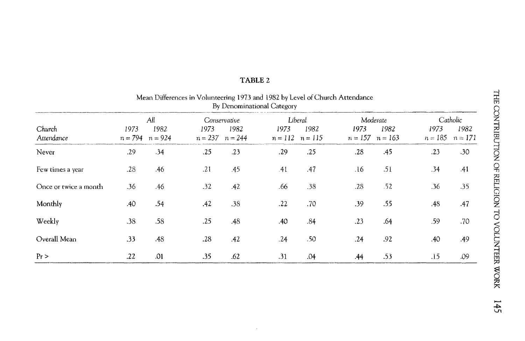#### **TABLE2**

Mean Differences in Volunteering 1973 and 1982 by Level of Church Attendance  $\Xi$ 

| By Denominational Category |      |                                    |      |                                             |      |                                        |                   |                               |                   |                               |
|----------------------------|------|------------------------------------|------|---------------------------------------------|------|----------------------------------------|-------------------|-------------------------------|-------------------|-------------------------------|
| Church<br>Attendance       | 1973 | All<br>1982<br>$n = 794$ $n = 924$ | 1973 | Conservative<br>1982<br>$n = 237$ $n = 244$ | 1973 | Liberal<br>1982<br>$n = 112$ $n = 115$ | 1973<br>$n = 157$ | Moderate<br>1982<br>$n = 163$ | 1973<br>$n = 185$ | Catholic<br>1982<br>$n = 171$ |
| Never                      | .29  | .34                                | .25  | .23                                         | .29  | .25                                    | .28               | .45                           | .23               | .30                           |
| Few times a year           | .28  | .46                                | .21  | .45                                         | .41  | .47                                    | .16               | .51                           | .34               | .41                           |
| Once or twice a month      | .36  | .46                                | .32  | .42                                         | .66  | .38                                    | .28               | .52                           | .36               | .35                           |
| Monthly                    | .40  | .54                                | .42  | .38                                         | .22  | .70                                    | .39               | .55                           | .48               | .47                           |
| Weekly                     | .38  | .58                                | .25  | .48                                         | .40  | .84                                    | .23               | .64                           | .59               | .70                           |
| Overall Mean               | 33   | .48                                | .28  | .42                                         | .24  | .50                                    | .24               | .92                           | .40               | .49                           |
| Pr                         | .22  | .01                                | .35  | .62                                         | .31  | .04                                    | .44               | .53                           | .15               | .09                           |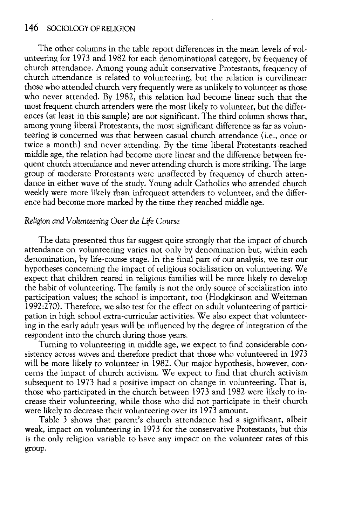#### **146** SOCIOLOGY OF RELIGION

The other columns in the table report differences in the mean levels of volunteering for 1973 and 1982 for each denominational category, by frequency of church attendance. Among young adult conservative Protestants, frequency of church attendance is related to volunteering, but the relation is curvilinear: those who attended church very frequently were as unlikely to volunteer as those who never attended. By 1982, this relation had become linear such that the most frequent church attenders were the most likely to volunteer, but the differences (at least in this sample) are not significant. The third column shows that, among young liberal Protestants, the most significant difference as far as volunteering is concerned was that between casual church attendance (i.e., once or twice a month) and never attending. By the time liberal Protestants reached middle age, the relation had become more linear and the difference between frequent church attendance and never attending church is more striking. The large group of moderate Protestants were unaffected by frequency of church attendance in either wave of the study. Young adult Catholics who attended church weekly were more likely than infrequent attenders to volunteer, and the difference had become more marked by the time they reached middle age.

#### *Religion and Volunteering Over the Life Course*

The data presented thus far suggest quite strongly that the impact of church attendance on volunteering varies not only by denomination but, within each denomination, by life-course stage. In the final part of our analysis, we test our hypotheses concerning the impact of religious socialization on volunteering. We expect that children reared in religious families will be more likely to develop the habit of volunteering. The family is not the only source of socialization into participation values; the school is important, too (Hodgkinson and Weitzman 1992:270). Therefore, we also test for the effect on adult volunteering of participation in high school extra-curricular activities. We also expect that volunteering in the early adult years will be influenced by the degree of integration of the respondent into the church during those years.

Turning to volunteering in middle age, we expect to find considerable consistency across waves and therefore predict that those who volunteered in 1973 will be more likely to volunteer in 1982. Our major hypothesis, however, concerns the impact of church activism. We expect to find that church activism subsequent to 1973 had a positive impact on change in volunteering. That is, those who participated in the church between 1973 and 1982 were likely to increase their volunteering, while those who did not participate in their church were likely to decrease their volunteering over its 1973 amount.

Table *3* shows that parent's church attendance had a significant, albeit weak, impact on volunteering in 1973 for the conservative Protestants, but this is the only religion variable to have any impact on the volunteer rates of this group.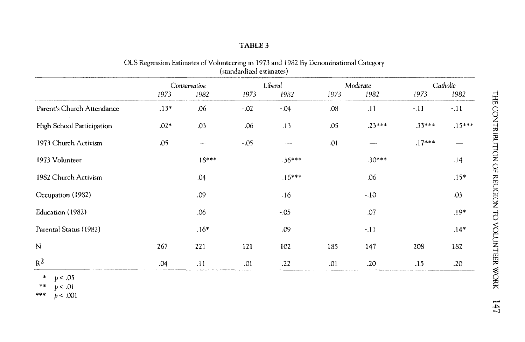|--|--|

|                            | Conservative |          | Liberal |          | Moderate |          | Catholic |          |
|----------------------------|--------------|----------|---------|----------|----------|----------|----------|----------|
|                            | 1973         | 1982     | 1973    | 1982     | 1973     | 1982     | 1973     | 1982     |
| Parent's Church Attendance | $.13*$       | .06      | $-.02$  | $-.04$   | .08      | .11      | $-.11$   | $-11$    |
| High School Participation  | $.02*$       | .03      | .06     | .13      | .05      | $.23***$ | $.33***$ | $.15***$ |
| 1973 Church Activism       | .05          |          | $-.05$  | an mara  | .01      |          | $.17***$ |          |
| 1973 Volunteer             |              | $.18***$ |         | $.36***$ |          | $.30***$ |          | .14      |
| 1982 Church Activism       |              | .04      |         | $.16***$ |          | .06      |          | $.15*$   |
| Occupation (1982)          |              | .09      |         | .16      |          | $-10$    |          | .03      |
| Education (1982)           |              | .06      |         | $-.05$   |          | .07      |          | .19*     |
| Parental Status (1982)     |              | $.16*$   |         | .09      |          | $-11$    |          | $.14*$   |
| N                          | 267          | 221      | 121     | 102      | 185      | 147      | 208      | 182      |
| $R^2$                      | .04          | .11      | .01     | .22      | .01      | .20      | .15      | .20      |

OLS Regression Estimates of Volunteering in i 973 and 1982 By Denominational Category

 $*$  *p* < .01  $\leq$  **?** 

\*\*\*  $p < .001$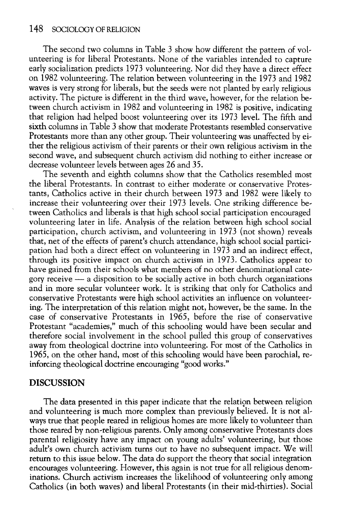The second two columns in Table 3 show how different the pattern of volunteering is for liberal Protestants. None of the variables intended to capture early socialization predicts 1973 volunteering. Nor did they have a direct effect on 1982 volunteering. The relation between volunteering in the 1973 and 1982 waves is very strong for liberals, but the seeds were not planted by early religious activity. The picture is different in the third wave, however, for the relation between church activism in 1982 and volunteering in 1982 is positive, indicating that religion had helped boost volunteering over its 1973 level. The fifth and sixth columns in Table 3 show that moderate Protestants resembled conservative Protestants more than any other group. Their volunteering was unaffected by either the religious activism of their parents or their own religious activism in the second wave, and subsequent church activism did nothing to either increase or decrease volunteer levels between ages 26 and 35.

The seventh and eighth columns show that the Catholics resembled most the liberal Protestants. In contrast to either moderate or conservative Protestants, Catholics active in their church between 1973 and 1982 were likely to increase their volunteering over their 1973 levels. One striking difference between Catholics and liberals is that high school social participation encouraged volunteering later in life. Analysis of the relation between high school social participation, church activism, and volunteering in 1973 (not shown) reveals that, net of the effects of parent's church attendance, high school social participation had both a direct effect on volunteering in 1973 and an indirect effect, through its positive impact on church activism in 1973. Catholics appear to have gained from their schools what members of no other denominational category receive  $-$  a disposition to be socially active in both church organizations and in more secular volunteer work. It is striking that only for Catholics and conservative Protestants were high school activities an influence on volunteering. The interpretation of this relation might not, however, be the same. In the case of conservative Protestants in 1965, before the rise of conservative Protestant "academies," much of this schooling would have been secular and therefore social involvement in the school pulled this group of conservatives away from theological doctrine into volunteering. For most of the Catholics in 1965, on the other hand, most of this schooling would have been parochial, reinforcing theological doctrine encouraging "good works."

# **DISCUSSION**

The data presented in this paper indicate that the relation between religion and volunteering is much more complex than previously believed. It is not always true that people reared in religious homes are more likely to volunteer than those reared by non-religious parents. Only among conservative Protestants does parental religiosity have any impact on young adults' volunteering, but those adult's own church activism turns out to have no subsequent impact. We will return to this issue below. The data do support the theory that social integration encourages volunteering. However, this again is not true for all religious denominations. Church activism increases the likelihood of volunteering only among Catholics (in both waves) and liberal Protestants (in their mid-thirties). Social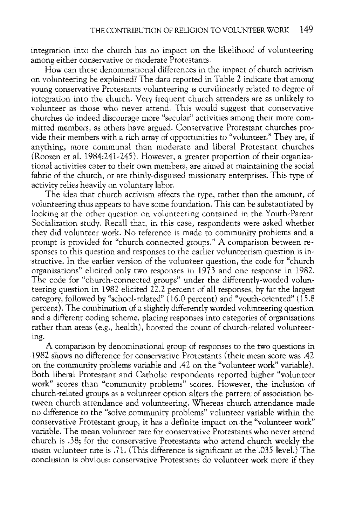integration into the church has no impact on the likelihood of volunteering among either conservative or moderate Protestants.

How can these denominational differences in the impact of church activism on volunteering be explained? The data reported in Table 2 indicate that among young conservative Protestants volunteering is curvilinearly related to degree of integration into the church. Very frequent church attenders are as unlikely to volunteer as those who never attend. This would suggest that conservative churches do indeed discourage more "secular" activities among their more committed members, as others have argued. Conservative Protestant churches provide their members with a rich array of opportunities to "volunteer." They are, if anything, more communal than moderate and liberal Protestant churches (Roozen et al. 1984:241-245). However, a greater proportion of their organizational activities cater to their own members, are aimed at maintaining the social fabric of the church, or are thinly-disguised missionary enterprises. This type of activity relies heavily on voluntary labor.

The idea that church activism affects the type, rather than the amount, of volunteering thus appears to have some foundation. This can be substantiated by looking at the other question on volunteering contained in the Youth~ Parent Socialization study, Recall that, in this case, respondents were asked whether they did volunteer work. No reference is made to community problems and a prompt is provided for "church connected groups." A comparison between responses to this question and responses to the earlier volunteerism question is instructive. In the earlier version of the volunteer question, the code for "church organizations" elicited only two responses in 1973 and one response in 1982. The code for "church-connected groups" under the differently-worded volunteering question in 1982 elicited 22.2 percent of all responses, by far the largest category, followed by "school-related" (16.0 percent) and "youth-oriented" (15.8 percent). The combination of a slightly differently worded volunteering question and a different coding scheme, placing responses into categories of organizations rather than areas (e.g., health), boosted the count of church-related volunteering.

A comparison by denominational group of responses to the two questions in 1982 shows no difference for conservative Protestants (their mean score was .42) on the community problems variable and .42 on the "volunteer work" variable). Both liberal Protestant and Catholic respondents reported higher "volunteer work" scores than "community problems" scores. However, the inclusion of church~rel.ated groups as a volunteer option alters the pattern of association between church attendance and volunteering. Whereas church attendance made no difference to the "solve community problems" volunteer variable within the conservative Protestant group, it has a definite impact on the "volunteer work" variable. The mean volunteer rate for conservative Protestants who never attend church is .38; for the conservative Protestants who attend church weekly the mean volunteer rate is .71. (This difference is significant at the .035 level.) The conclusion is obvious: conservative Protestants do volunteer work more if they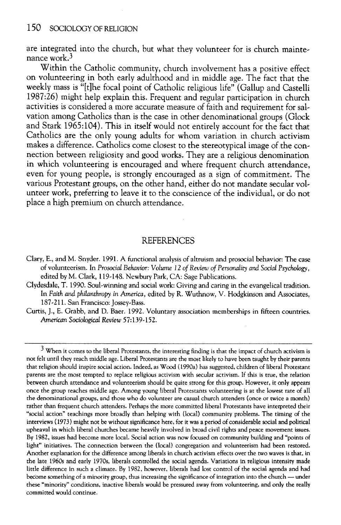#### 150 SOCIOLOGY OF RELIGION

are integrated into the church, but what they volunteer for is church maintenance work.3

Within the Catholic community, church involvement has a positive effect on volunteering in both early adulthood and in middle age. The fact that the weekly mass is "[t]he focal point of Catholic religious life" (Gallup and Castelli 1987:26) might help explain this. Frequent and regular participation in church activities is considered a more accurate measure of faith and requirement for sal, vation among Catholics than is the case in other denominational groups (Glock and Stark 1965:104). This in itself would not entirely account for the fact that Catholics are the only young adults for whom variation in church activism makes a difference. Catholics come closest to the stereotypical image of the connection between religiosity and good works. They are a religious denomination in which volunteering is encouraged and where frequent church attendance, even for young people, is strongly encouraged as a sign of commitment. The various Protestant groups, on the other hand, either do not mandate secular volunteer work, preferring to leave it to the conscience of the individual, or do not place a high premium on church attendance.

#### REFERENCES

- Clary, E., and M. Snyder. 1991. A functional analysis of altruism and prosocial behavior: The case of volunteerism. In *Prosocial Behavior: Volume 12 of Review of Personality and Social Psychology,*  edited by M. Clark, 119-148. Newbury Park, CA: Sage Publications.
- Clydesdale, T. 1990. Soul-winning and social work: Giving and caring in the evangelical tradition. In *Faith and philanthropy in America,* edited by R. Wuthnow, V. Hodgkinson and Associates, 187-211. San Francisco: Jossey-Bass.
- Curtis, J., E. Grabb, and D. Baer. 1992. Voluntary association memberships in fifteen countries. *American Sociological Review* 57:139-152.

 $3$  When it comes to the liberal Protestants, the interesting finding is that the impact of church activism is not felt until they reach middle age. Liberal Protestants are the most likely to have been taught by their parents that religion should inspire social action. Indeed, as Wood ( l990a) has suggested, children of liberal Protestant parents are the most tempted to replace religious activism with secular activism. If this is true, the relation between church attendance and volunteerism should be quite strong for this group. However, it only appears once the group reaches middle age. Among young liberal Protestants volunteering is at the lowest rate of all the denominational groups, and those who do volunteer are casual church attenders (once or twice a month) rather than frequent church attenders. Perhaps the more committed liberal Protestants have interpreted their "social action" teachings more broadly than helping with (local) community problems. The titning of the interviews ( 1973) might not be without significance here, for it was a period of considerable social and political upheaval in which liberal churches became heavily involved in broad civil rights and peace movement issues. By 1982, issues had become more local. Social action was now focused on community building and "points of light" initiatives. The connection between the (local) congregation and volunteerism had been restored. Another explanation for the difference among liberals in church activism effects over the two waves is that, in the late 1960s and early 1970s, liberals controlled the social agenda. Variations in religious intensity made little difference in such a climate. By 1982, however, liberals had lost control of the social agenda and had become something of a minority group, thus increasing the significance of integration into the church - under these "minority" conditions, inactive liberals would be pressured away from volunteering, and only the really committed would continue.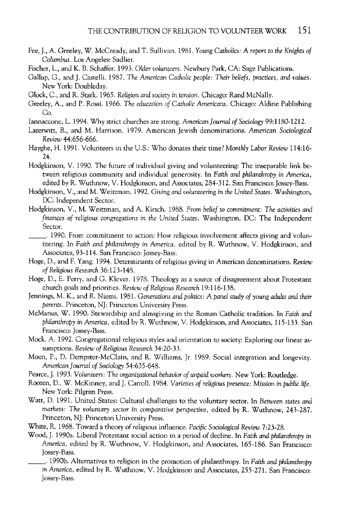- Fee,}., A. Greeley, W. McCready, and T. Sullivan. 1981. *Young Catholics: A report to the Knights of Columbus.* Los Angeles: Sadlier.
- Fischer, L., and K. B. Schaffer. 1993. *Older volunteers.* Newbury Park, CA: Sage Publications.
- Gallup, G., and J. Castelli. 1987. *The American Catho1ic people: Their beliefs, practices, and values.*  New York: Doubleday.
- Glock, C., and R. Stark. 1965. *Religion and society in tension*. Chicago: Rand McNally.
- Greeley, A., and P. Rossi. 1966. *The education of Catholic Americans*. Chicago: Aldine Publishing Co.
- Iannaccone, L. 1994. "\X!hy strict churches are strong. *American Journal of Sociology* 99: 1180-1212.
- Lazerwitz, B., and M. Harrison. 1979. American Jewish denominations. *American Sociological Review* 44:656-666.
- Hayghe, H. 1991. Volunteers in the U.S.: Who donates their time? *Monthly Labor Review* 114:16- 24.
- Hodgkinson, V. 1990. The future of individual giving and volunteering: The inseparable link between religious community and individual generosity. In *Faith and philanthropy in America,*  edited by R. Wuthnow, V. Hodgkinson, and Associates, 284-312. San Francisco: Jossey-Bass.
- Hodgkinson, V., and M. Weitzman. 1992. *Giving and volunteering in the United States.* Washington, DC: Independent Sector.
- Hodgkinson, V., M. Weitzman, and A. Kirsch. 1988. From *belief to commitment: The activities and finances of religious congregations in the United States.* Washington, DC: The Independent Sector.
- \_\_ . 1990. From commitment to action: How religious involvement affects giving and volunteering. In Faith and philanthropy in *America*, edited by R. Wuthnow, V. Hodgkinson, and Associates, 93-114. San Francisco: Jossey-Bass.
- Hoge, D., and F. Yang. 1994. Determinants of religious giving in American denominations. *Review of Religious Research* 36:123-148.
- Hoge, D., E. Perry, and G. Klever. 1978. Theology as a source of disagreement about Protestant church goals and prioriti.es. *Review of Religious Research* 19:116-138.
- Jennings, M. K., and R. Niemi. 1981. Generations and politics: A panel study of young adults and their *parents.* Princeton, NJ: Princeton University Press.
- McManus, W. 1990. Stewardship and almsgiving in the Roman Catholic tradition. In *Faith and philanthropy in America,* edited by R. Wuthnow, V. Hodgkinson, and Associates, 115-133. San Francisco: Jossey-Bass.
- Mock. A. 1992. Congregational religious styles and orientation to society: Exploring our linear assumptions. *Review of Religious Research* 34:20-33.
- Moen, P., D. Dempster-McClain, and R. Williams, Jr. 1989. Social integration and longevity. *American ]oumal of Sociology* 54:635-648.
- Pearce, J. 1993. *Volunteers: The organizationai behavior of unpaid workers.* New York: Routledge.
- Roozen, D.,. W .. McKinney, and J. Carroll. 1984. *Varieties of religious presence:* Mission *in public life.*  New York: Pilgrim Press.
- Watt, D. 1991. United States: Cultural challenges to the voluntary sector. ln *Between states and marlcets: The voluntary sector in comparative perspective,* edited by R. Wuthnow, 243-287. Princeton, NJ: Princeton University Press.
- White, R. 1968. Toward a theory of religious influence. Pacific *Sociological Review* 7:23-28.
- Wood, J. 1990a. Liberal Protestant social action in a period of decline. In Faith and philanthropy in *America,* edited by R. Wuthnow, V. Hodgkinson, and Associates, 165-186. San Francisco: jossey-Bass.
	- \_\_ . l990b. Altematives to religion in the promotion of philanthropy. In *Faith and philanthropy in America,* edited by R. Wuthnow, V. Hodgkinson and Associates, 255-271. San Francisco: Jossey-Bass.